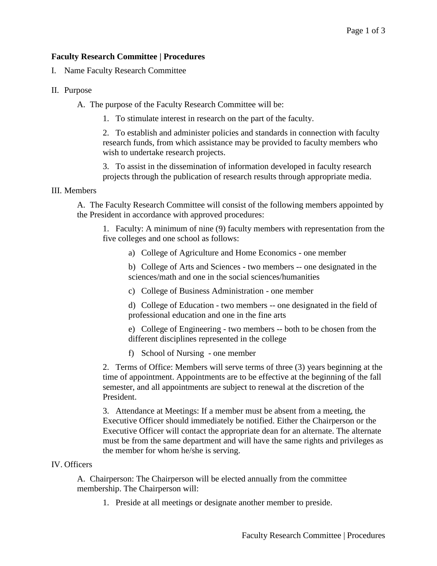## **Faculty Research Committee | Procedures**

I. Name Faculty Research Committee

- II. Purpose
	- A. The purpose of the Faculty Research Committee will be:
		- 1. To stimulate interest in research on the part of the faculty.

2. To establish and administer policies and standards in connection with faculty research funds, from which assistance may be provided to faculty members who wish to undertake research projects.

3. To assist in the dissemination of information developed in faculty research projects through the publication of research results through appropriate media.

## III. Members

A. The Faculty Research Committee will consist of the following members appointed by the President in accordance with approved procedures:

1. Faculty: A minimum of nine (9) faculty members with representation from the five colleges and one school as follows:

a) College of Agriculture and Home Economics - one member

b) College of Arts and Sciences - two members -- one designated in the sciences/math and one in the social sciences/humanities

c) College of Business Administration - one member

d) College of Education - two members -- one designated in the field of professional education and one in the fine arts

e) College of Engineering - two members -- both to be chosen from the different disciplines represented in the college

f) School of Nursing - one member

2. Terms of Office: Members will serve terms of three (3) years beginning at the time of appointment. Appointments are to be effective at the beginning of the fall semester, and all appointments are subject to renewal at the discretion of the President.

3. Attendance at Meetings: If a member must be absent from a meeting, the Executive Officer should immediately be notified. Either the Chairperson or the Executive Officer will contact the appropriate dean for an alternate. The alternate must be from the same department and will have the same rights and privileges as the member for whom he/she is serving.

## IV. Officers

A. Chairperson: The Chairperson will be elected annually from the committee membership. The Chairperson will:

1. Preside at all meetings or designate another member to preside.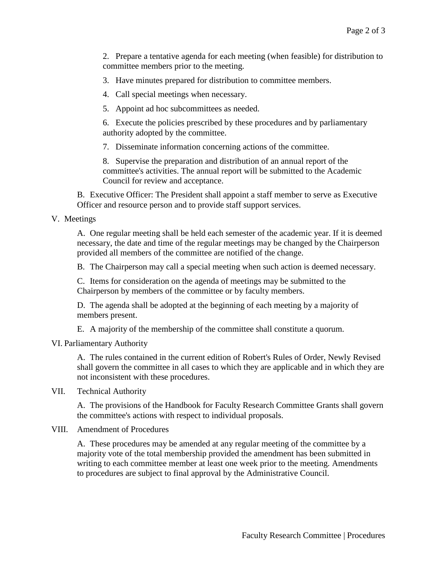2. Prepare a tentative agenda for each meeting (when feasible) for distribution to committee members prior to the meeting.

3. Have minutes prepared for distribution to committee members.

4. Call special meetings when necessary.

5. Appoint ad hoc subcommittees as needed.

6. Execute the policies prescribed by these procedures and by parliamentary authority adopted by the committee.

7. Disseminate information concerning actions of the committee.

8. Supervise the preparation and distribution of an annual report of the committee's activities. The annual report will be submitted to the Academic Council for review and acceptance.

B. Executive Officer: The President shall appoint a staff member to serve as Executive Officer and resource person and to provide staff support services.

## V. Meetings

A. One regular meeting shall be held each semester of the academic year. If it is deemed necessary, the date and time of the regular meetings may be changed by the Chairperson provided all members of the committee are notified of the change.

B. The Chairperson may call a special meeting when such action is deemed necessary.

C. Items for consideration on the agenda of meetings may be submitted to the Chairperson by members of the committee or by faculty members.

D. The agenda shall be adopted at the beginning of each meeting by a majority of members present.

E. A majority of the membership of the committee shall constitute a quorum.

VI. Parliamentary Authority

A. The rules contained in the current edition of Robert's Rules of Order, Newly Revised shall govern the committee in all cases to which they are applicable and in which they are not inconsistent with these procedures.

VII. Technical Authority

A. The provisions of the Handbook for Faculty Research Committee Grants shall govern the committee's actions with respect to individual proposals.

VIII. Amendment of Procedures

A. These procedures may be amended at any regular meeting of the committee by a majority vote of the total membership provided the amendment has been submitted in writing to each committee member at least one week prior to the meeting. Amendments to procedures are subject to final approval by the Administrative Council.